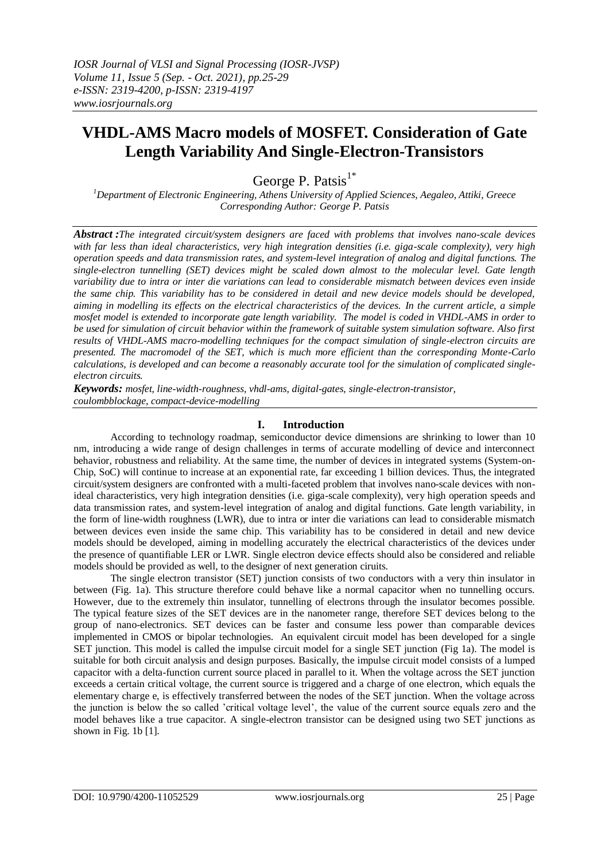# **VHDL-AMS Macro models of MOSFET. Consideration of Gate Length Variability And Single-Electron-Transistors**

George P. Patsis $1^*$ 

*<sup>1</sup>Department of Electronic Engineering, Athens University of Applied Sciences, Aegaleo, Attiki, Greece Corresponding Author: George P. Patsis*

*Abstract :The integrated circuit/system designers are faced with problems that involves nano-scale devices with far less than ideal characteristics, very high integration densities (i.e. giga-scale complexity), very high operation speeds and data transmission rates, and system-level integration of analog and digital functions. The single-electron tunnelling (SET) devices might be scaled down almost to the molecular level. Gate length variability due to intra or inter die variations can lead to considerable mismatch between devices even inside the same chip. This variability has to be considered in detail and new device models should be developed, aiming in modelling its effects on the electrical characteristics of the devices. In the current article, a simple mosfet model is extended to incorporate gate length variability. The model is coded in VHDL-AMS in order to be used for simulation of circuit behavior within the framework of suitable system simulation software. Also first results of VHDL-AMS macro-modelling techniques for the compact simulation of single-electron circuits are presented. The macromodel of the SET, which is much more efficient than the corresponding Monte-Carlo calculations, is developed and can become a reasonably accurate tool for the simulation of complicated singleelectron circuits.*

*Keywords: mosfet, line-width-roughness, vhdl-ams, digital-gates, single-electron-transistor, coulombblockage, compact-device-modelling*

# **I. Introduction**

According to technology roadmap, semiconductor device dimensions are shrinking to lower than 10 nm, introducing a wide range of design challenges in terms of accurate modelling of device and interconnect behavior, robustness and reliability. At the same time, the number of devices in integrated systems (System-on-Chip, SoC) will continue to increase at an exponential rate, far exceeding 1 billion devices. Thus, the integrated circuit/system designers are confronted with a multi-faceted problem that involves nano-scale devices with nonideal characteristics, very high integration densities (i.e. giga-scale complexity), very high operation speeds and data transmission rates, and system-level integration of analog and digital functions. Gate length variability, in the form of line-width roughness (LWR), due to intra or inter die variations can lead to considerable mismatch between devices even inside the same chip. This variability has to be considered in detail and new device models should be developed, aiming in modelling accurately the electrical characteristics of the devices under the presence of quantifiable LER or LWR. Single electron device effects should also be considered and reliable models should be provided as well, to the designer of next generation ciruits.

The single electron transistor (SET) junction consists of two conductors with a very thin insulator in between (Fig. 1a). This structure therefore could behave like a normal capacitor when no tunnelling occurs. However, due to the extremely thin insulator, tunnelling of electrons through the insulator becomes possible. The typical feature sizes of the SET devices are in the nanometer range, therefore SET devices belong to the group of nano-electronics. SET devices can be faster and consume less power than comparable devices implemented in CMOS or bipolar technologies. An equivalent circuit model has been developed for a single SET junction. This model is called the impulse circuit model for a single SET junction (Fig 1a). The model is suitable for both circuit analysis and design purposes. Basically, the impulse circuit model consists of a lumped capacitor with a delta-function current source placed in parallel to it. When the voltage across the SET junction exceeds a certain critical voltage, the current source is triggered and a charge of one electron, which equals the elementary charge e, is effectively transferred between the nodes of the SET junction. When the voltage across the junction is below the so called 'critical voltage level', the value of the current source equals zero and the model behaves like a true capacitor. A single-electron transistor can be designed using two SET junctions as shown in Fig. 1b [1].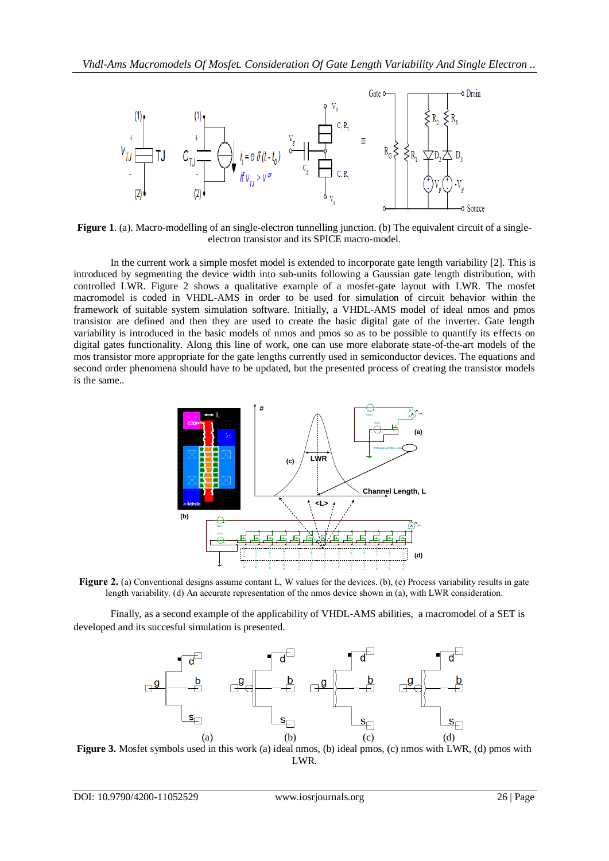

**Figure 1**. (a). Macro-modelling of an single-electron tunnelling junction. (b) The equivalent circuit of a singleelectron transistor and its SPICE macro-model.

In the current work a simple mosfet model is extended to incorporate gate length variability [2]. This is introduced by segmenting the device width into sub-units following a Gaussian gate length distribution, with controlled LWR. Figure 2 shows a qualitative example of a mosfet-gate layout with LWR. The mosfet macromodel is coded in VHDL-AMS in order to be used for simulation of circuit behavior within the framework of suitable system simulation software. Initially, a VHDL-AMS model of ideal nmos and pmos transistor are defined and then they are used to create the basic digital gate of the inverter. Gate length variability is introduced in the basic models of nmos and pmos so as to be possible to quantify its effects on digital gates functionality. Along this line of work, one can use more elaborate state-of-the-art models of the mos transistor more appropriate for the gate lengths currently used in semiconductor devices. The equations and second order phenomena should have to be updated, but the presented process of creating the transistor models is the same..



length variability. (d) An accurate representation of the nmos device shown in (a), with LWR consideration.

Finally, as a second example of the applicability of VHDL-AMS abilities, a macromodel of a SET is developed and its succesful simulation is presented.



**Figure 3.** Mosfet symbols used in this work (a) ideal nmos, (b) ideal pmos, (c) nmos with LWR, (d) pmos with LWR.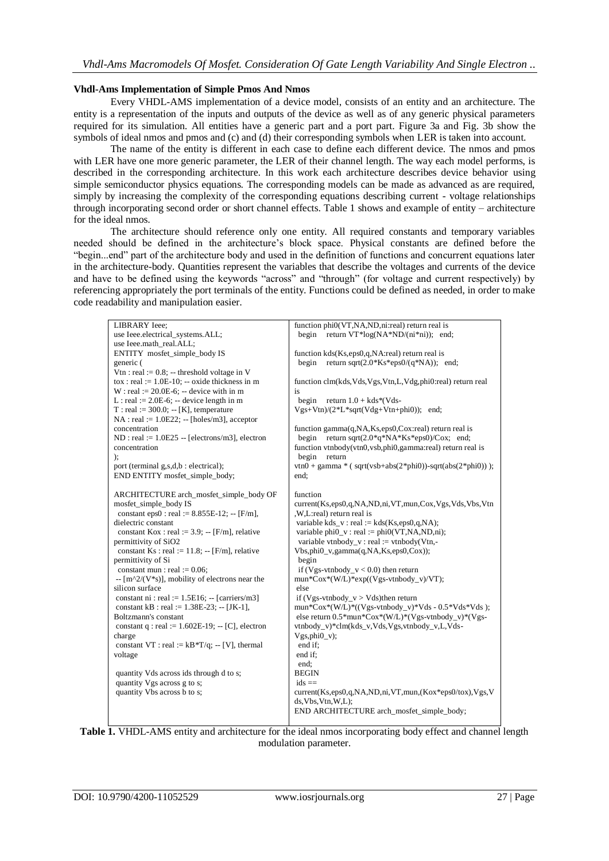### **Vhdl-Ams Implementation of Simple Pmos And Nmos**

Every VHDL-AMS implementation of a device model, consists of an entity and an architecture. The entity is a representation of the inputs and outputs of the device as well as of any generic physical parameters required for its simulation. All entities have a generic part and a port part. Figure 3a and Fig. 3b show the symbols of ideal nmos and pmos and (c) and (d) their corresponding symbols when LER is taken into account.

The name of the entity is different in each case to define each different device. The nmos and pmos with LER have one more generic parameter, the LER of their channel length. The way each model performs, is described in the corresponding architecture. In this work each architecture describes device behavior using simple semiconductor physics equations. The corresponding models can be made as advanced as are required, simply by increasing the complexity of the corresponding equations describing current - voltage relationships through incorporating second order or short channel effects. Table 1 shows and example of entity – architecture for the ideal nmos.

The architecture should reference only one entity. All required constants and temporary variables needed should be defined in the architecture's block space. Physical constants are defined before the "begin...end" part of the architecture body and used in the definition of functions and concurrent equations later in the architecture-body. Quantities represent the variables that describe the voltages and currents of the device and have to be defined using the keywords "across" and "through" (for voltage and current respectively) by referencing appropriately the port terminals of the entity. Functions could be defined as needed, in order to make code readability and manipulation easier.

| LIBRARY Ieee;                                                          | function phi0(VT,NA,ND,ni:real) return real is                      |
|------------------------------------------------------------------------|---------------------------------------------------------------------|
| use Ieee.electrical_systems.ALL;                                       | return VT*log(NA*ND/(ni*ni)); end;<br>begin                         |
| use Ieee.math_real.ALL;                                                |                                                                     |
| ENTITY mosfet_simple_body IS                                           | function kds(Ks,eps0,q,NA:real) return real is                      |
| generic (                                                              | return sqrt $(2.0*Ks*eps0/(q*NA))$ ; end;<br>begin                  |
| Vtn : real := $0.8$ ; -- threshold voltage in V                        |                                                                     |
| $\text{to } x : \text{real} := 1.0E-10; -\text{oxide thickness in } m$ | function clm(kds, Vds, Vgs, Vtn, L, Vdg, phi0:real) return real     |
| $W:$ real := 20.0E-6; -- device with in m                              | is                                                                  |
| L: real := $2.0E-6$ ; -- device length in m                            | return $1.0 + kds*(Vds -$<br>begin                                  |
| $T: real := 300.0; -[K]$ , temperature                                 | $Vgs+Vtn)/(2*L*sqrt(Vdg+Vtn+phi0));$ end;                           |
| $NA$ : real := 1.0E22; -- [holes/m3], acceptor                         |                                                                     |
| concentration                                                          | function gamma(q,NA,Ks,eps0,Cox:real) return real is                |
| $ND : real := 1.0E25 - [electrons/m3]$ , electron                      | return sqrt $(2.0*q*NA*Ks*eps0)/Cox$ ; end;<br>begin                |
| concentration                                                          | function vtnbody(vtn0, vsb, phi0, gamma: real) return real is       |
| );                                                                     | begin<br>return                                                     |
| port (terminal g,s,d,b : electrical);                                  | $vtn0 + gamma * (sqrt(vsb+abs(2*pini0)) - sqrt(abs(2*pini0)));$     |
| END ENTITY mosfet_simple_body;                                         | end:                                                                |
|                                                                        |                                                                     |
| ARCHITECTURE arch_mosfet_simple_body OF                                | function                                                            |
| mosfet_simple_body IS                                                  | current(Ks,eps0,q,NA,ND,ni,VT,mun,Cox,Vgs,Vds,Vbs,Vtn               |
| constant eps0 : real := $8.855E-12$ ; -- [F/m],                        | ,W,L:real) return real is                                           |
| dielectric constant                                                    | variable kds_v: real := kds(Ks,eps0,q,NA);                          |
| constant Kox : real := $3.9$ ; -- [F/m], relative                      | variable phi $0_v$ : real := phi $0(VT, NA, ND, ni)$ ;              |
| permittivity of SiO2                                                   | variable vtnbody_v : real := vtnbody(Vtn,-                          |
| constant Ks : real := $11.8$ ; -- [F/m], relative                      | $Vbs,phi0_v,gamma(q,NA,Ks,eps0,Cox);$                               |
| permittivity of Si                                                     | begin                                                               |
| constant mun : real := $0.06$ ;                                        | if (Vgs-vtnbody_v < 0.0) then return                                |
| $-$ [m^2/(V*s)], mobility of electrons near the                        | $mun*Cox*(W/L)*exp((Vgs-vtnbody_v)/VT);$                            |
| silicon surface                                                        | else                                                                |
| constant ni : real := $1.5E16$ ; -- [carriers/m3]                      | if (Vgs-vtnbody $v > V$ ds)then return                              |
| constant kB : real := $1.38E-23$ ; -- [JK-1],                          | mun*Cox*(W/L)*((Vgs-vtnbody_v)*Vds - 0.5*Vds*Vds);                  |
| Boltzmann's constant                                                   | else return $0.5*$ mun* $\text{Cox}^*(W/L)*(Vgs-vtnbody_v)*(Vgs-v)$ |
| constant q : real := $1.602E-19$ ; -- [C], electron                    | vtnbody v)*clm(kds v,Vds,Vgs,vtnbody v,L,Vds-                       |
| charge                                                                 | $Vgs,phi_0_v$ ;                                                     |
| constant VT : real := $kB*T/q$ ; -- [V], thermal                       | end if:                                                             |
| voltage                                                                | end if:                                                             |
|                                                                        | end:                                                                |
| quantity Vds across ids through d to s;                                | <b>BEGIN</b>                                                        |
| quantity Vgs across g to s;                                            | $ids ==$                                                            |
| quantity Vbs across b to s;                                            | current(Ks,eps0,q,NA,ND,ni,VT,mun,(Kox*eps0/tox),Vgs,V              |
|                                                                        | ds, Vbs, Vtn, W, L);                                                |
|                                                                        | END ARCHITECTURE arch_mosfet_simple_body;                           |

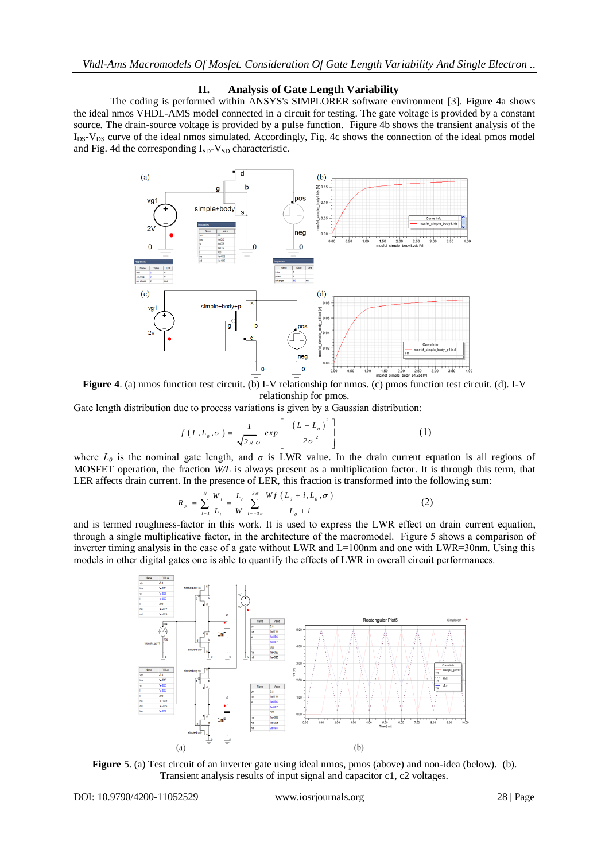# **II. Analysis of Gate Length Variability**

The coding is performed within ANSYS's SIMPLORER software environment [3]. Figure 4a shows the ideal nmos VHDL-AMS model connected in a circuit for testing. The gate voltage is provided by a constant source. The drain-source voltage is provided by a pulse function. Figure 4b shows the transient analysis of the  $I_{DS}$ - $V_{DS}$  curve of the ideal nmos simulated. Accordingly, Fig. 4c shows the connection of the ideal pmos model and Fig. 4d the corresponding  $I_{SD}$ - $V_{SD}$  characteristic.



**Figure 4**. (a) nmos function test circuit. (b) I-V relationship for nmos. (c) pmos function test circuit. (d). I-V relationship for pmos.

Gate length distribution due to process variations is given by a Gaussian distribution:

$$
f\left(L, L_o, \sigma\right) = \frac{1}{\sqrt{2\pi}\sigma} exp\left[-\frac{\left(L - L_o\right)^2}{2\sigma^2}\right]
$$
 (1)

where  $L_0$  is the nominal gate length, and  $\sigma$  is LWR value. In the drain current equation is all regions of MOSFET operation, the fraction *W/L* is always present as a multiplication factor. It is through this term, that LER affects drain current. In the presence of LER, this fraction is transformed into the following sum:

$$
R_{F} = \sum_{i=1}^{N} \frac{W_{i}}{L_{i}} = \frac{L_{o}}{W} \sum_{i=-3\sigma}^{3\sigma} \frac{Wf(L_{o} + i, L_{o}, \sigma)}{L_{o} + i}
$$
(2)

and is termed roughness-factor in this work. It is used to express the LWR effect on drain current equation, through a single multiplicative factor, in the architecture of the macromodel. Figure 5 shows a comparison of inverter timing analysis in the case of a gate without LWR and  $L=100$ nm and one with LWR=30nm. Using this models in other digital gates one is able to quantify the effects of LWR in overall circuit performances.



**Figure** 5. (a) Test circuit of an inverter gate using ideal nmos, pmos (above) and non-idea (below). (b). Transient analysis results of input signal and capacitor c1, c2 voltages.